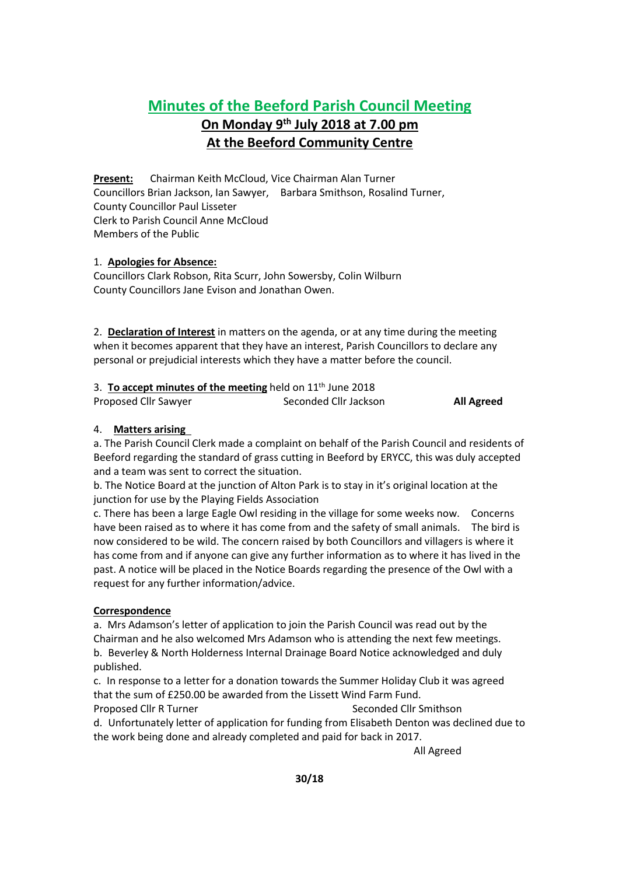# **Minutes of the Beeford Parish Council Meeting On Monday 9 th July 2018 at 7.00 pm**

# **At the Beeford Community Centre**

**Present:** Chairman Keith McCloud, Vice Chairman Alan Turner Councillors Brian Jackson, Ian Sawyer, Barbara Smithson, Rosalind Turner, County Councillor Paul Lisseter Clerk to Parish Council Anne McCloud Members of the Public

## 1. **Apologies for Absence:**

Councillors Clark Robson, Rita Scurr, John Sowersby, Colin Wilburn County Councillors Jane Evison and Jonathan Owen.

2. **Declaration of Interest** in matters on the agenda, or at any time during the meeting when it becomes apparent that they have an interest, Parish Councillors to declare any personal or prejudicial interests which they have a matter before the council.

| 3. To accept minutes of the meeting held on $11th$ June 2018 |                       |                   |
|--------------------------------------------------------------|-----------------------|-------------------|
| Proposed Cllr Sawyer                                         | Seconded Cllr Jackson | <b>All Agreed</b> |

## 4. **Matters arising**

a. The Parish Council Clerk made a complaint on behalf of the Parish Council and residents of Beeford regarding the standard of grass cutting in Beeford by ERYCC, this was duly accepted and a team was sent to correct the situation.

b. The Notice Board at the junction of Alton Park is to stay in it's original location at the junction for use by the Playing Fields Association

c. There has been a large Eagle Owl residing in the village for some weeks now. Concerns have been raised as to where it has come from and the safety of small animals. The bird is now considered to be wild. The concern raised by both Councillors and villagers is where it has come from and if anyone can give any further information as to where it has lived in the past. A notice will be placed in the Notice Boards regarding the presence of the Owl with a request for any further information/advice.

## **Correspondence**

a. Mrs Adamson's letter of application to join the Parish Council was read out by the Chairman and he also welcomed Mrs Adamson who is attending the next few meetings. b. Beverley & North Holderness Internal Drainage Board Notice acknowledged and duly published.

c. In response to a letter for a donation towards the Summer Holiday Club it was agreed that the sum of £250.00 be awarded from the Lissett Wind Farm Fund.

Proposed Cllr R Turner Seconded Cllr Smithson d. Unfortunately letter of application for funding from Elisabeth Denton was declined due to the work being done and already completed and paid for back in 2017.

All Agreed